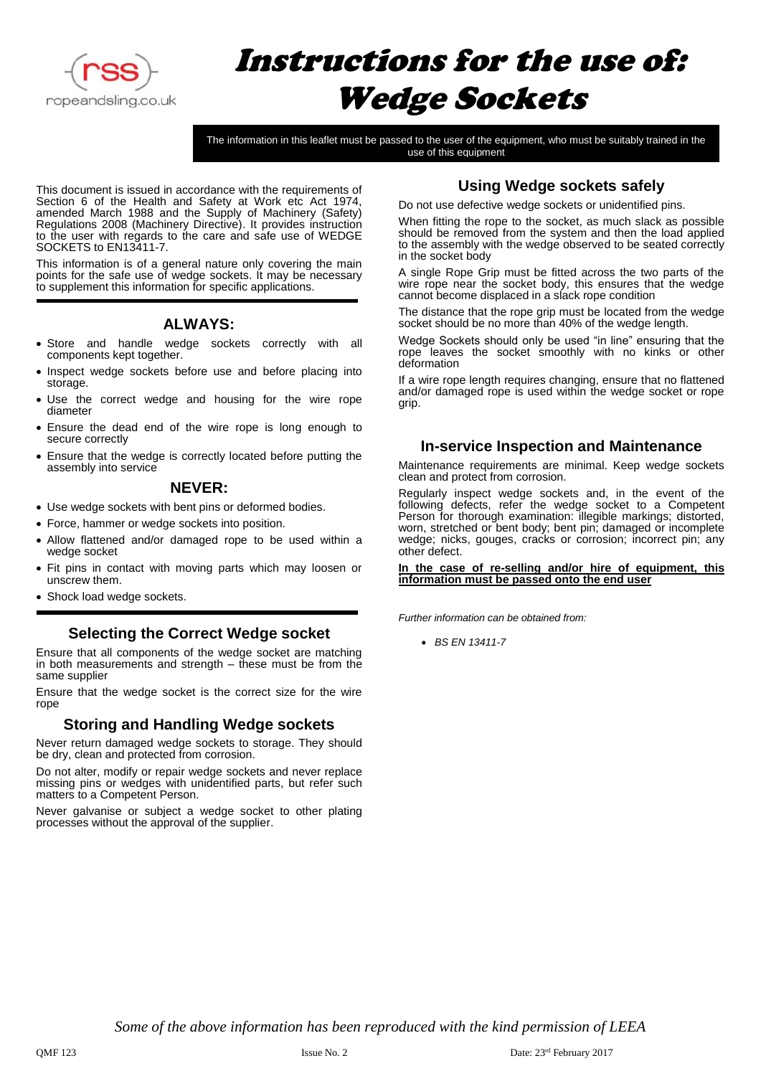

# Instructions for the use of: Wedge Sockets

The information in this leaflet must be passed to the user of the equipment, who must be suitably trained in the use of this equipment

This document is issued in accordance with the requirements of Section 6 of the Health and Safety at Work etc Act 1974, amended March 1988 and the Supply of Machinery (Safety) Regulations 2008 (Machinery Directive). It provides instruction to the user with regards to the care and safe use of WEDGE SOCKETS to EN13411-7.

This information is of a general nature only covering the main points for the safe use of wedge sockets. It may be necessary to supplement this information for specific applications.

## **ALWAYS:**

- Store and handle wedge sockets correctly with all components kept together.
- Inspect wedge sockets before use and before placing into storage.
- Use the correct wedge and housing for the wire rope diameter
- Ensure the dead end of the wire rope is long enough to secure correctly
- Ensure that the wedge is correctly located before putting the assembly into service

## **NEVER:**

- Use wedge sockets with bent pins or deformed bodies.
- Force, hammer or wedge sockets into position.
- Allow flattened and/or damaged rope to be used within a wedge socket
- Fit pins in contact with moving parts which may loosen or unscrew them.
- Shock load wedge sockets.

## **Selecting the Correct Wedge socket**

Ensure that all components of the wedge socket are matching in both measurements and strength – these must be from the same supplier

Ensure that the wedge socket is the correct size for the wire rope

## **Storing and Handling Wedge sockets**

Never return damaged wedge sockets to storage. They should be dry, clean and protected from corrosion.

Do not alter, modify or repair wedge sockets and never replace missing pins or wedges with unidentified parts, but refer such matters to a Competent Person.

Never galvanise or subject a wedge socket to other plating processes without the approval of the supplier.

## **Using Wedge sockets safely**

Do not use defective wedge sockets or unidentified pins.

When fitting the rope to the socket, as much slack as possible should be removed from the system and then the load applied to the assembly with the wedge observed to be seated correctly in the socket body

A single Rope Grip must be fitted across the two parts of the wire rope near the socket body, this ensures that the wedge cannot become displaced in a slack rope condition

The distance that the rope grip must be located from the wedge socket should be no more than 40% of the wedge length.

Wedge Sockets should only be used "in line" ensuring that the rope leaves the socket smoothly with no kinks or other deformation

If a wire rope length requires changing, ensure that no flattened and/or damaged rope is used within the wedge socket or rope grip.

## **In-service Inspection and Maintenance**

Maintenance requirements are minimal. Keep wedge sockets clean and protect from corrosion.

Regularly inspect wedge sockets and, in the event of the following defects, refer the wedge socket to a Competent Person for thorough examination: illegible markings; distorted, worn, stretched or bent body; bent pin; damaged or incomplete wedge; nicks, gouges, cracks or corrosion; incorrect pin; any other defect.

#### **In the case of re-selling and/or hire of equipment, this information must be passed onto the end user**

*Further information can be obtained from:*

• *BS EN 13411-7*

*Some of the above information has been reproduced with the kind permission of LEEA*